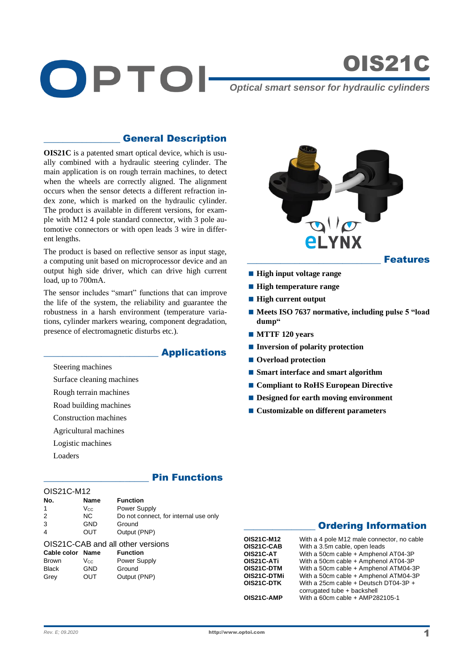

OIS21C

## \_\_\_\_\_\_\_\_\_\_\_\_\_\_\_\_ General Description

**OIS21C** is a patented smart optical device, which is usually combined with a hydraulic steering cylinder. The main application is on rough terrain machines, to detect when the wheels are correctly aligned. The alignment occurs when the sensor detects a different refraction index zone, which is marked on the hydraulic cylinder. The product is available in different versions, for example with M12 4 pole standard connector, with 3 pole automotive connectors or with open leads 3 wire in different lengths.

The product is based on reflective sensor as input stage, a computing unit based on microprocessor device and an output high side driver, which can drive high current load, up to 700mA.

The sensor includes "smart" functions that can improve the life of the system, the reliability and guarantee the robustness in a harsh environment (temperature variations, cylinder markers wearing, component degradation, presence of electromagnetic disturbs etc.).

## \_\_\_\_\_\_\_\_\_\_\_\_\_\_\_\_\_\_\_\_\_\_\_\_ Applications

Steering machines

Surface cleaning machines

Rough terrain machines

Road building machines

Construction machines

Agricultural machines

- Logistic machines
- Loaders

## **Pin Functions**

| OIS21C-M12       |             |                                       |
|------------------|-------------|---------------------------------------|
| No.              | <b>Name</b> | <b>Function</b>                       |
| 1                | Vcc.        | Power Supply                          |
| 2                | NC.         | Do not connect, for internal use only |
| 3                | <b>GND</b>  | Ground                                |
| 4                | OUT         | Output (PNP)                          |
|                  |             | OIS21C-CAB and all other versions     |
| Cable color Name |             | <b>Function</b>                       |
| Brown            | Vcc.        | Power Supply                          |
| Black            | GND         | Ground                                |
| Grev             | OUT         | Output (PNP)                          |
|                  |             |                                       |



- **High input voltage range**
- **High temperature range**
- **High current output**
- Meets ISO 7637 normative, including pulse 5 "load **dump"**
- **MTTF 120 years**
- **Inversion of polarity protection**
- Overload protection
- **Smart interface and smart algorithm**
- **Compliant to RoHS European Directive**
- **Designed for earth moving environment**
- Customizable on different parameters

# **Ordering Information**

| OIS21C-M12  | With a 4 pole M12 male connector, no cable |
|-------------|--------------------------------------------|
| OIS21C-CAB  | With a 3.5m cable, open leads              |
| OIS21C-AT   | With a 50cm cable + Amphenol AT04-3P       |
| OIS21C-ATi  | With a 50cm cable + Amphenol AT04-3P       |
| OIS21C-DTM  | With a 50cm cable + Amphenol ATM04-3P      |
| OIS21C-DTMi | With a 50cm cable + Amphenol ATM04-3P      |
| OIS21C-DTK  | With a 25cm cable + Deutsch DT04-3P +      |
|             | corrugated tube + backshell                |
| OIS21C-AMP  | With a 60cm cable $+$ AMP282105-1          |
|             |                                            |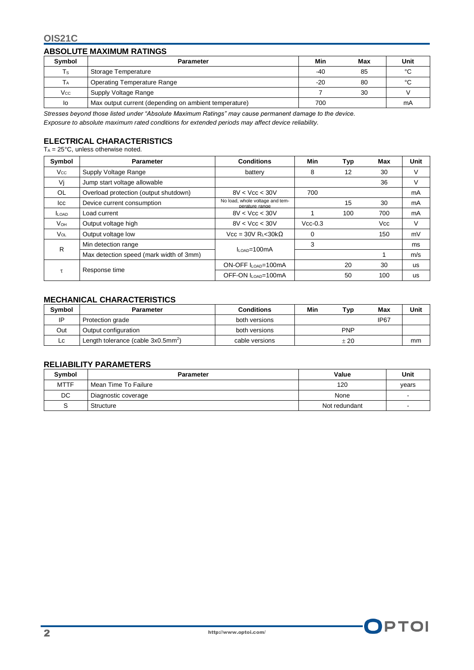### **OIS21C**

### **ABSOLUTE MAXIMUM RATINGS**

| <b>Symbol</b> | <b>Parameter</b>                                      | Min   | <b>Max</b> | Unit |
|---------------|-------------------------------------------------------|-------|------------|------|
| Ts            | Storage Temperature                                   | $-40$ | 85         | °C   |
| ТA            | <b>Operating Temperature Range</b>                    | $-20$ | 80         | °C   |
| $V_{\rm CC}$  | Supply Voltage Range                                  |       | 30         |      |
| lo            | Max output current (depending on ambient temperature) | 700   |            | mA   |

*Stresses beyond those listed under "Absolute Maximum Ratings" may cause permanent damage to the device.* 

*Exposure to absolute maximum rated conditions for extended periods may affect device reliability.*

### **ELECTRICAL CHARACTERISTICS**

 $T_A = 25^{\circ}$ C, unless otherwise noted.

| Symbol          | <b>Parameter</b>                        | <b>Conditions</b>                                 | Min       | Typ | Max | Unit      |
|-----------------|-----------------------------------------|---------------------------------------------------|-----------|-----|-----|-----------|
| Vcc.            | Supply Voltage Range                    | battery                                           | 8         | 12  | 30  | V         |
| Vi              | Jump start voltage allowable            |                                                   |           |     | 36  | V         |
| OL              | Overload protection (output shutdown)   | 8V < Vcc < 30V                                    | 700       |     |     | mA        |
| lcc             | Device current consumption              | No load, whole voltage and tem-<br>perature range |           | 15  | 30  | mA        |
| <b>LOAD</b>     | Load current                            | 8V < Vcc < 30V                                    |           | 100 | 700 | mA        |
| Vон             | Output voltage high                     | 8V < Vcc < 30V                                    | $Vcc-0.3$ |     | Vcc | V         |
| V <sub>OL</sub> | Output voltage low                      | $Vec = 30V R_1 < 30k\Omega$                       | $\Omega$  |     | 150 | mV        |
| R               | Min detection range                     | $IL$ $\alpha$ n=100mA                             | 3         |     |     | ms        |
|                 | Max detection speed (mark width of 3mm) |                                                   |           |     |     | m/s       |
| $\tau$          | Response time                           | ON-OFF ILOAD=100mA                                |           | 20  | 30  | <b>US</b> |
|                 |                                         | OFF-ON ILOAD=100mA                                |           | 50  | 100 | <b>US</b> |

### **MECHANICAL CHARACTERISTICS**

| <b>Symbol</b> | Parameter                                         | <b>Conditions</b> | Min | Tvp        | Max              | Unit |
|---------------|---------------------------------------------------|-------------------|-----|------------|------------------|------|
| IP            | Protection grade                                  | both versions     |     |            | IP <sub>67</sub> |      |
| Out           | Output configuration                              | both versions     |     | <b>PNP</b> |                  |      |
| Lc.           | Length tolerance (cable $3x0.5$ mm <sup>2</sup> ) | cable versions    |     | $+20$      |                  | mm   |

#### **RELIABILITY PARAMETERS**

| Symbol      | <b>Parameter</b>     | Value         | Unit  |
|-------------|----------------------|---------------|-------|
| <b>MTTF</b> | Mean Time To Failure | 120           | vears |
| DC          | Diagnostic coverage  | None          |       |
| S           | Structure            | Not redundant |       |

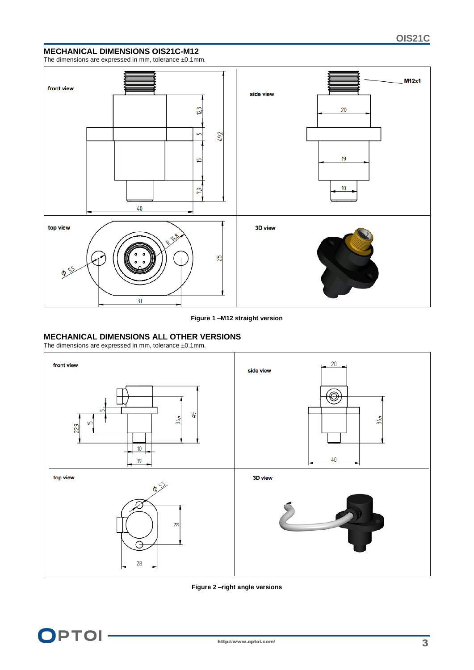### **MECHANICAL DIMENSIONS OIS21C-M12**

The dimensions are expressed in mm, tolerance ±0.1mm.



#### **Figure 1 –M12 straight version**

#### **MECHANICAL DIMENSIONS ALL OTHER VERSIONS**

The dimensions are expressed in mm, tolerance  $\pm 0.1$ mm.



#### **Figure 2 –right angle versions**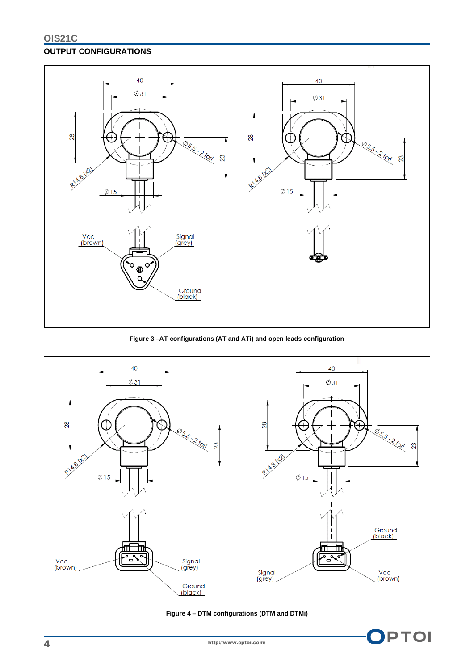## **OUTPUT CONFIGURATIONS**



**Figure 3 –AT configurations (AT and ATi) and open leads configuration**



**Figure 4 – DTM configurations (DTM and DTMi)**

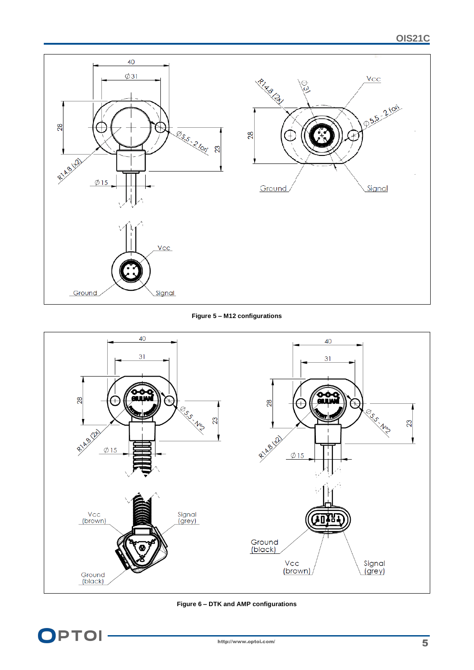

### **Figure 5 – M12 configurations**



#### **Figure 6 – DTK and AMP configurations**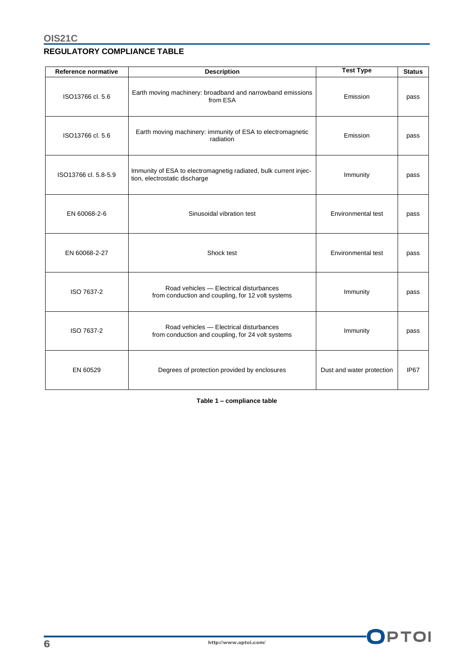# **REGULATORY COMPLIANCE TABLE**

| Reference normative  | <b>Description</b>                                                                                | <b>Test Type</b>          | <b>Status</b> |
|----------------------|---------------------------------------------------------------------------------------------------|---------------------------|---------------|
| ISO13766 cl. 5.6     | Earth moving machinery: broadband and narrowband emissions<br>from ESA                            | Emission                  | pass          |
| ISO13766 cl. 5.6     | Earth moving machinery: immunity of ESA to electromagnetic<br>radiation                           | Emission                  | pass          |
| ISO13766 cl. 5.8-5.9 | Immunity of ESA to electromagnetig radiated, bulk current injec-<br>tion, electrostatic discharge | Immunity                  | pass          |
| EN 60068-2-6         | Sinusoidal vibration test                                                                         | Environmental test        | pass          |
| EN 60068-2-27        | Shock test                                                                                        | Environmental test        | pass          |
| ISO 7637-2           | Road vehicles - Electrical disturbances<br>from conduction and coupling, for 12 volt systems      | Immunity                  | pass          |
| ISO 7637-2           | Road vehicles - Electrical disturbances<br>from conduction and coupling, for 24 volt systems      | Immunity                  | pass          |
| EN 60529             | Degrees of protection provided by enclosures                                                      | Dust and water protection | IP67          |

**Table 1 – compliance table**

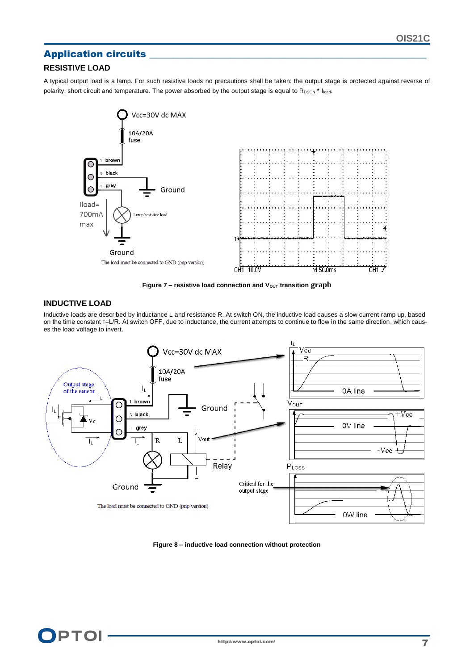## Application circuits

## **RESISTIVE LOAD**

A typical output load is a lamp. For such resistive loads no precautions shall be taken: the output stage is protected against reverse of polarity, short circuit and temperature. The power absorbed by the output stage is equal to RDSON \* Iload.



**Figure 7 - resistive load connection and V<sub>OUT</sub> transition graph** 

### **INDUCTIVE LOAD**

Inductive loads are described by inductance L and resistance R. At switch ON, the inductive load causes a slow current ramp up, based on the time constant τ=L/R. At switch OFF, due to inductance, the current attempts to continue to flow in the same direction, which causes the load voltage to invert.



**Figure 8 – inductive load connection without protection**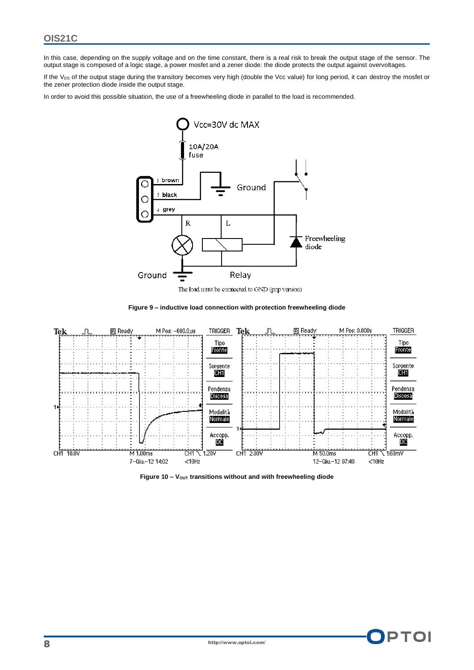In this case, depending on the supply voltage and on the time constant, there is a real risk to break the output stage of the sensor. The output stage is composed of a logic stage, a power mosfet and a zener diode: the diode protects the output against overvoltages.

If the V<sub>DS</sub> of the output stage during the transitory becomes very high (double the Vcc value) for long period, it can destroy the mosfet or the zener protection diode inside the output stage.

In order to avoid this possible situation, the use of a freewheeling diode in parallel to the load is recommended.



The load must be connected to GND (pnp version)





**Figure 10 – VOUT transitions without and with freewheeling diode**